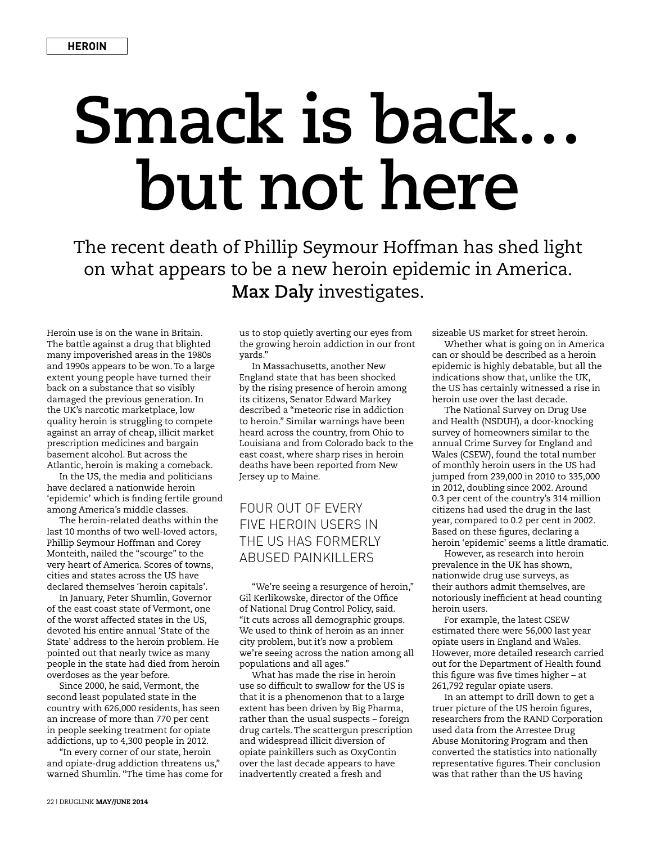## **Smack is back… but not here**

The recent death of Phillip Seymour Hoffman has shed light on what appears to be a new heroin epidemic in America. **Max Daly** investigates.

Heroin use is on the wane in Britain. The battle against a drug that blighted many impoverished areas in the 1980s and 1990s appears to be won. To a large extent young people have turned their back on a substance that so visibly damaged the previous generation. In the UK's narcotic marketplace, low quality heroin is struggling to compete against an array of cheap, illicit market prescription medicines and bargain basement alcohol. But across the Atlantic, heroin is making a comeback.

In the US, the media and politicians have declared a nationwide heroin 'epidemic' which is finding fertile ground among America's middle classes.

The heroin-related deaths within the last 10 months of two well-loved actors, Phillip Seymour Hoffman and Corey Monteith, nailed the "scourge" to the very heart of America. Scores of towns, cities and states across the US have declared themselves 'heroin capitals'.

In January, Peter Shumlin, Governor of the east coast state of Vermont, one of the worst affected states in the US, devoted his entire annual 'State of the State' address to the heroin problem. He pointed out that nearly twice as many people in the state had died from heroin overdoses as the year before.

Since 2000, he said, Vermont, the second least populated state in the country with 626,000 residents, has seen an increase of more than 770 per cent in people seeking treatment for opiate addictions, up to 4,300 people in 2012.

"In every corner of our state, heroin and opiate-drug addiction threatens us," warned Shumlin. "The time has come for

us to stop quietly averting our eyes from the growing heroin addiction in our front yards."

In Massachusetts, another New England state that has been shocked by the rising presence of heroin among its citizens, Senator Edward Markey described a "meteoric rise in addiction to heroin." Similar warnings have been heard across the country, from Ohio to Louisiana and from Colorado back to the east coast, where sharp rises in heroin deaths have been reported from New Jersey up to Maine.

## FOUR OUT OF EVERY FIVE HEROIN USERS IN THE US HAS FORMERLY ABUSED PAINKILLERS

"We're seeing a resurgence of heroin," Gil Kerlikowske, director of the Office of National Drug Control Policy, said. "It cuts across all demographic groups. We used to think of heroin as an inner city problem, but it's now a problem we're seeing across the nation among all populations and all ages."

What has made the rise in heroin use so difficult to swallow for the US is that it is a phenomenon that to a large extent has been driven by Big Pharma, rather than the usual suspects – foreign drug cartels. The scattergun prescription and widespread illicit diversion of opiate painkillers such as OxyContin over the last decade appears to have inadvertently created a fresh and

sizeable US market for street heroin.

Whether what is going on in America can or should be described as a heroin epidemic is highly debatable, but all the indications show that, unlike the UK, the US has certainly witnessed a rise in heroin use over the last decade.

The National Survey on Drug Use and Health (NSDUH), a door-knocking survey of homeowners similar to the annual Crime Survey for England and Wales (CSEW), found the total number of monthly heroin users in the US had jumped from 239,000 in 2010 to 335,000 in 2012, doubling since 2002. Around 0.3 per cent of the country's 314 million citizens had used the drug in the last year, compared to 0.2 per cent in 2002. Based on these figures, declaring a heroin 'epidemic' seems a little dramatic.

However, as research into heroin prevalence in the UK has shown, nationwide drug use surveys, as their authors admit themselves, are notoriously inefficient at head counting heroin users.

For example, the latest CSEW estimated there were 56,000 last year opiate users in England and Wales. However, more detailed research carried out for the Department of Health found this figure was five times higher – at 261,792 regular opiate users.

In an attempt to drill down to get a truer picture of the US heroin figures, researchers from the RAND Corporation used data from the Arrestee Drug Abuse Monitoring Program and then converted the statistics into nationally representative figures. Their conclusion was that rather than the US having